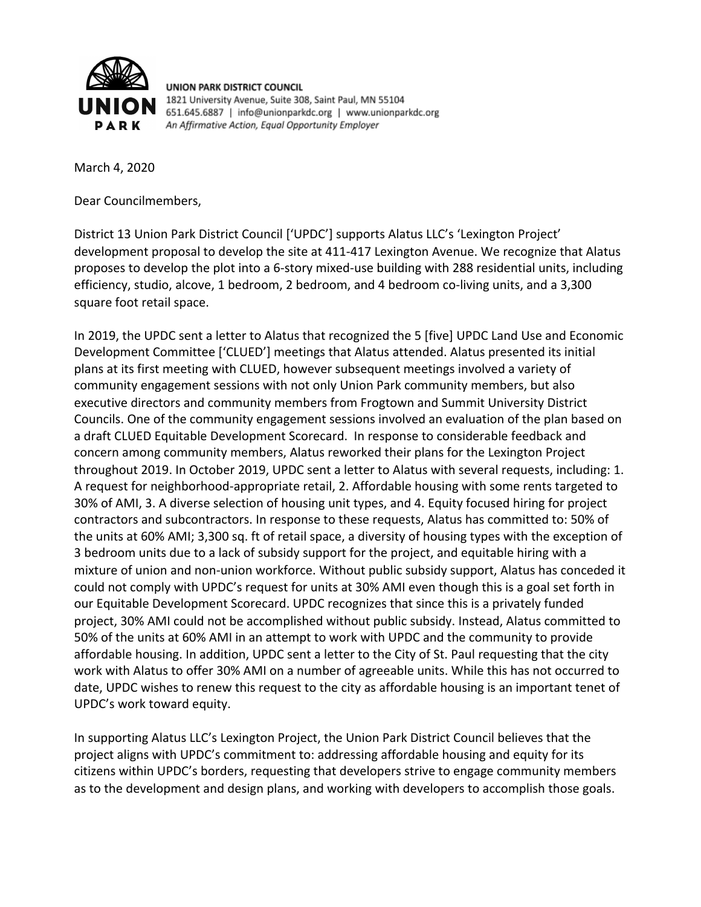

**UNION PARK DISTRICT COUNCIL** 1821 University Avenue, Suite 308, Saint Paul, MN 55104 651.645.6887 | info@unionparkdc.org | www.unionparkdc.org An Affirmative Action, Equal Opportunity Employer

March 4, 2020

Dear Councilmembers,

District 13 Union Park District Council ['UPDC'] supports Alatus LLC's 'Lexington Project' development proposal to develop the site at 411-417 Lexington Avenue. We recognize that Alatus proposes to develop the plot into a 6-story mixed-use building with 288 residential units, including efficiency, studio, alcove, 1 bedroom, 2 bedroom, and 4 bedroom co-living units, and a 3,300 square foot retail space.

In 2019, the UPDC sent a letter to Alatus that recognized the 5 [five] UPDC Land Use and Economic Development Committee ['CLUED'] meetings that Alatus attended. Alatus presented its initial plans at its first meeting with CLUED, however subsequent meetings involved a variety of community engagement sessions with not only Union Park community members, but also executive directors and community members from Frogtown and Summit University District Councils. One of the community engagement sessions involved an evaluation of the plan based on a draft CLUED Equitable Development Scorecard. In response to considerable feedback and concern among community members, Alatus reworked their plans for the Lexington Project throughout 2019. In October 2019, UPDC sent a letter to Alatus with several requests, including: 1. A request for neighborhood-appropriate retail, 2. Affordable housing with some rents targeted to 30% of AMI, 3. A diverse selection of housing unit types, and 4. Equity focused hiring for project contractors and subcontractors. In response to these requests, Alatus has committed to: 50% of the units at 60% AMI; 3,300 sq. ft of retail space, a diversity of housing types with the exception of 3 bedroom units due to a lack of subsidy support for the project, and equitable hiring with a mixture of union and non-union workforce. Without public subsidy support, Alatus has conceded it could not comply with UPDC's request for units at 30% AMI even though this is a goal set forth in our Equitable Development Scorecard. UPDC recognizes that since this is a privately funded project, 30% AMI could not be accomplished without public subsidy. Instead, Alatus committed to 50% of the units at 60% AMI in an attempt to work with UPDC and the community to provide affordable housing. In addition, UPDC sent a letter to the City of St. Paul requesting that the city work with Alatus to offer 30% AMI on a number of agreeable units. While this has not occurred to date, UPDC wishes to renew this request to the city as affordable housing is an important tenet of UPDC's work toward equity.

In supporting Alatus LLC's Lexington Project, the Union Park District Council believes that the project aligns with UPDC's commitment to: addressing affordable housing and equity for its citizens within UPDC's borders, requesting that developers strive to engage community members as to the development and design plans, and working with developers to accomplish those goals.